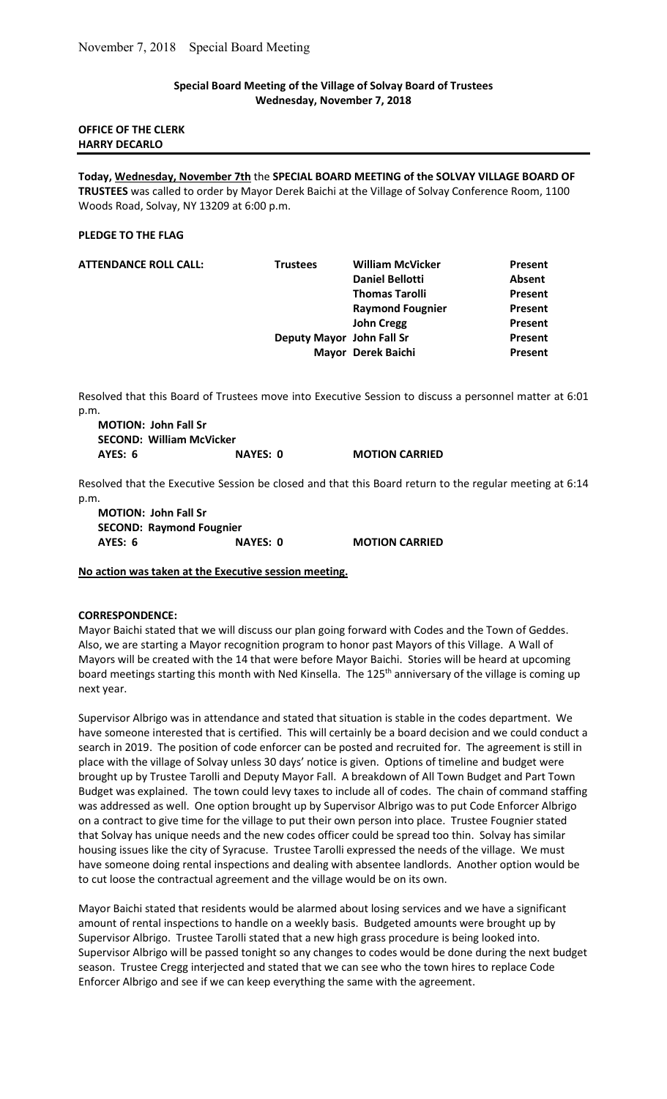## Special Board Meeting of the Village of Solvay Board of Trustees Wednesday, November 7, 2018

## OFFICE OF THE CLERK HARRY DECARLO

Today, Wednesday, November 7th the SPECIAL BOARD MEETING of the SOLVAY VILLAGE BOARD OF TRUSTEES was called to order by Mayor Derek Baichi at the Village of Solvay Conference Room, 1100 Woods Road, Solvay, NY 13209 at 6:00 p.m.

#### PLEDGE TO THE FLAG

| <b>ATTENDANCE ROLL CALL:</b> | <b>Trustees</b>           | <b>William McVicker</b> | Present       |
|------------------------------|---------------------------|-------------------------|---------------|
|                              |                           | <b>Daniel Bellotti</b>  | <b>Absent</b> |
|                              |                           | <b>Thomas Tarolli</b>   | Present       |
|                              |                           | <b>Raymond Fougnier</b> | Present       |
|                              |                           | <b>John Cregg</b>       | Present       |
|                              | Deputy Mayor John Fall Sr |                         | Present       |
|                              |                           | Mayor Derek Baichi      | Present       |

Resolved that this Board of Trustees move into Executive Session to discuss a personnel matter at 6:01 p.m.

| <b>MOTION: John Fall Sr</b>     |          |                       |
|---------------------------------|----------|-----------------------|
| <b>SECOND: William McVicker</b> |          |                       |
| AYES: 6                         | NAYES: 0 | <b>MOTION CARRIED</b> |

Resolved that the Executive Session be closed and that this Board return to the regular meeting at 6:14 p.m.

MOTION: John Fall Sr SECOND: Raymond Fougnier AYES: 6 NAYES: 0 MOTION CARRIED

## No action was taken at the Executive session meeting.

## CORRESPONDENCE:

Mayor Baichi stated that we will discuss our plan going forward with Codes and the Town of Geddes. Also, we are starting a Mayor recognition program to honor past Mayors of this Village. A Wall of Mayors will be created with the 14 that were before Mayor Baichi. Stories will be heard at upcoming board meetings starting this month with Ned Kinsella. The 125<sup>th</sup> anniversary of the village is coming up next year.

Supervisor Albrigo was in attendance and stated that situation is stable in the codes department. We have someone interested that is certified. This will certainly be a board decision and we could conduct a search in 2019. The position of code enforcer can be posted and recruited for. The agreement is still in place with the village of Solvay unless 30 days' notice is given. Options of timeline and budget were brought up by Trustee Tarolli and Deputy Mayor Fall. A breakdown of All Town Budget and Part Town Budget was explained. The town could levy taxes to include all of codes. The chain of command staffing was addressed as well. One option brought up by Supervisor Albrigo was to put Code Enforcer Albrigo on a contract to give time for the village to put their own person into place. Trustee Fougnier stated that Solvay has unique needs and the new codes officer could be spread too thin. Solvay has similar housing issues like the city of Syracuse. Trustee Tarolli expressed the needs of the village. We must have someone doing rental inspections and dealing with absentee landlords. Another option would be to cut loose the contractual agreement and the village would be on its own.

Mayor Baichi stated that residents would be alarmed about losing services and we have a significant amount of rental inspections to handle on a weekly basis. Budgeted amounts were brought up by Supervisor Albrigo. Trustee Tarolli stated that a new high grass procedure is being looked into. Supervisor Albrigo will be passed tonight so any changes to codes would be done during the next budget season. Trustee Cregg interjected and stated that we can see who the town hires to replace Code Enforcer Albrigo and see if we can keep everything the same with the agreement.